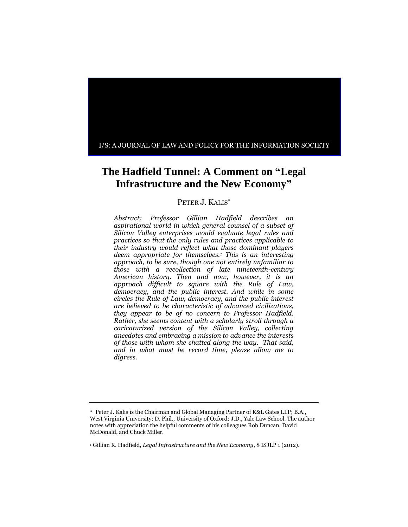

# **The Hadfield Tunnel: A Comment on "Legal Infrastructure and the New Economy"**

# PETER J. KALIS<sup>\*</sup>

*Abstract: Professor Gillian Hadfield describes an aspirational world in which general counsel of a subset of Silicon Valley enterprises would evaluate legal rules and practices so that the only rules and practices applicable to their industry would reflect what those dominant players deem appropriate for themselves.<sup>1</sup> This is an interesting approach, to be sure, though one not entirely unfamiliar to those with a recollection of late nineteenth-century American history. Then and now, however, it is an approach difficult to square with the Rule of Law, democracy, and the public interest. And while in some circles the Rule of Law, democracy, and the public interest are believed to be characteristic of advanced civilizations, they appear to be of no concern to Professor Hadfield. Rather, she seems content with a scholarly stroll through a caricaturized version of the Silicon Valley, collecting anecdotes and embracing a mission to advance the interests of those with whom she chatted along the way. That said, and in what must be record time, please allow me to digress.*

<sup>\*</sup> Peter J. Kalis is the Chairman and Global Managing Partner of K&L Gates LLP; B.A., West Virginia University; D. Phil., University of Oxford; J.D., Yale Law School. The author notes with appreciation the helpful comments of his colleagues Rob Duncan, David McDonald, and Chuck Miller.

<sup>1</sup> Gillian K. Hadfield, *Legal Infrastructure and the New Economy*, 8 ISJLP 1 (2012).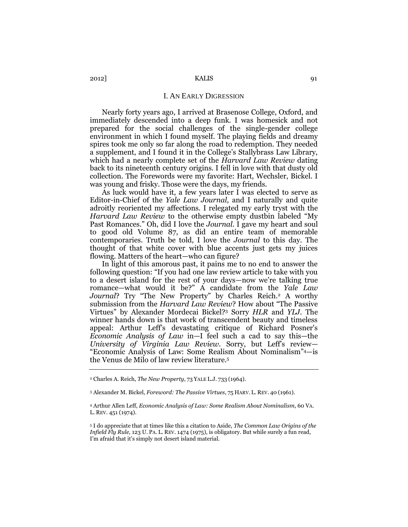## I. AN EARLY DIGRESSION

Nearly forty years ago, I arrived at Brasenose College, Oxford, and immediately descended into a deep funk. I was homesick and not prepared for the social challenges of the single-gender college environment in which I found myself. The playing fields and dreamy spires took me only so far along the road to redemption. They needed a supplement, and I found it in the College's Stallybrass Law Library, which had a nearly complete set of the *Harvard Law Review* dating back to its nineteenth century origins. I fell in love with that dusty old collection. The Forewords were my favorite: Hart, Wechsler, Bickel. I was young and frisky. Those were the days, my friends.

As luck would have it, a few years later I was elected to serve as Editor-in-Chief of the *Yale Law Journal*, and I naturally and quite adroitly reoriented my affections. I relegated my early tryst with the *Harvard Law Review* to the otherwise empty dustbin labeled "My Past Romances." Oh, did I love the *Journal.* I gave my heart and soul to good old Volume 87, as did an entire team of memorable contemporaries. Truth be told, I love the *Journal* to this day. The thought of that white cover with blue accents just gets my juices flowing. Matters of the heart—who can figure?

In light of this amorous past, it pains me to no end to answer the following question: "If you had one law review article to take with you to a desert island for the rest of your days—now we're talking true romance—what would it be?" A candidate from the *Yale Law*  Journal? Try "The New Property" by Charles Reich.<sup>2</sup> A worthy submission from the *Harvard Law Review*? How about "The Passive Virtues" by Alexander Mordecai Bickel?<sup>3</sup> Sorry *HLR* and *YLJ.* The winner hands down is that work of transcendent beauty and timeless appeal: Arthur Leff's devastating critique of Richard Posner's *Economic Analysis of Law* in—I feel such a cad to say this—the *University of Virginia Law Review*. Sorry, but Leff's review— "Economic Analysis of Law: Some Realism About Nominalism"4—is the Venus de Milo of law review literature.<sup>5</sup>

<sup>2</sup> Charles A. Reich, *The New Property*, 73 YALE L.J. 733 (1964).

<sup>3</sup> Alexander M. Bickel, *Foreword: The Passive Virtues*, 75 HARV. L. REV. 40 (1961).

<sup>4</sup> Arthur Allen Leff, *Economic Analysis of Law: Some Realism About Nominalism*, 60 VA. L. REV. 451 (1974).

<sup>5</sup> I do appreciate that at times like this a citation to Aside, *The Common Law Origins of the Infield Fly Rule,* 123 U. PA. L. REV. 1474 (1975), is obligatory. But while surely a fun read, I'm afraid that it's simply not desert island material.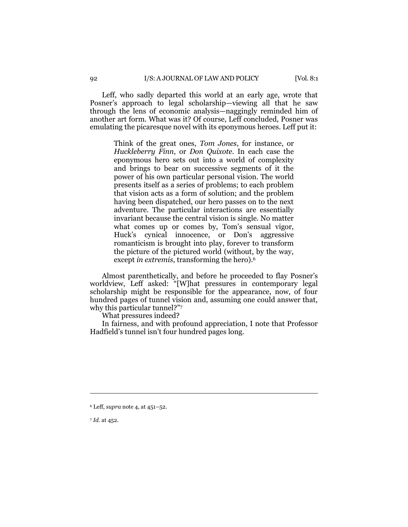Leff, who sadly departed this world at an early age, wrote that Posner's approach to legal scholarship—viewing all that he saw through the lens of economic analysis—naggingly reminded him of another art form. What was it? Of course, Leff concluded, Posner was emulating the picaresque novel with its eponymous heroes. Leff put it:

> Think of the great ones, *Tom Jones*, for instance, or *Huckleberry Finn*, or *Don Quixote*. In each case the eponymous hero sets out into a world of complexity and brings to bear on successive segments of it the power of his own particular personal vision. The world presents itself as a series of problems; to each problem that vision acts as a form of solution; and the problem having been dispatched, our hero passes on to the next adventure. The particular interactions are essentially invariant because the central vision is single. No matter what comes up or comes by, Tom's sensual vigor, Huck's cynical innocence, or Don's aggressive romanticism is brought into play, forever to transform the picture of the pictured world (without, by the way, except *in extremis*, transforming the hero).<sup>6</sup>

Almost parenthetically, and before he proceeded to flay Posner's worldview, Leff asked: "[W]hat pressures in contemporary legal scholarship might be responsible for the appearance, now, of four hundred pages of tunnel vision and, assuming one could answer that, why this particular tunnel?"<sup>7</sup>

What pressures indeed?

In fairness, and with profound appreciation, I note that Professor Hadfield's tunnel isn't four hundred pages long.

 $\overline{a}$ 

<sup>6</sup> Leff, *supra* note 4, at 451–52.

<sup>7</sup> *Id.* at 452.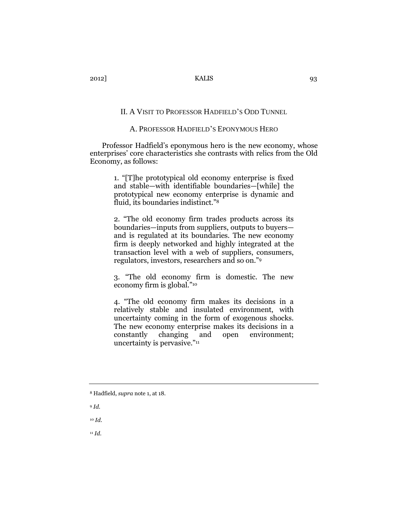## II. A VISIT TO PROFESSOR HADFIELD'S ODD TUNNEL

## A. PROFESSOR HADFIELD'S EPONYMOUS HERO

Professor Hadfield's eponymous hero is the new economy, whose enterprises' core characteristics she contrasts with relics from the Old Economy, as follows:

> 1. "[T]he prototypical old economy enterprise is fixed and stable—with identifiable boundaries—[while] the prototypical new economy enterprise is dynamic and fluid, its boundaries indistinct."<sup>8</sup>

> 2. "The old economy firm trades products across its boundaries—inputs from suppliers, outputs to buyers and is regulated at its boundaries. The new economy firm is deeply networked and highly integrated at the transaction level with a web of suppliers, consumers, regulators, investors, researchers and so on."<sup>9</sup>

> 3. "The old economy firm is domestic. The new economy firm is global."<sup>10</sup>

> 4. "The old economy firm makes its decisions in a relatively stable and insulated environment, with uncertainty coming in the form of exogenous shocks. The new economy enterprise makes its decisions in a constantly changing and open environment; uncertainty is pervasive."<sup>11</sup>

<sup>11</sup> *Id*.

<sup>8</sup> Hadfield, *supra* note 1, at 18.

<sup>9</sup> *Id.* 

<sup>10</sup> *Id*.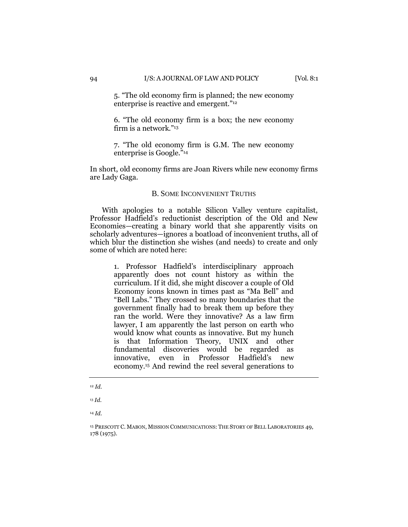5. "The old economy firm is planned; the new economy enterprise is reactive and emergent."<sup>12</sup>

6. "The old economy firm is a box; the new economy firm is a network."<sup>13</sup>

7. "The old economy firm is G.M. The new economy enterprise is Google."<sup>14</sup>

In short, old economy firms are Joan Rivers while new economy firms are Lady Gaga.

## B. SOME INCONVENIENT TRUTHS

With apologies to a notable Silicon Valley venture capitalist, Professor Hadfield's reductionist description of the Old and New Economies—creating a binary world that she apparently visits on scholarly adventures—ignores a boatload of inconvenient truths, all of which blur the distinction she wishes (and needs) to create and only some of which are noted here:

> 1. Professor Hadfield's interdisciplinary approach apparently does not count history as within the curriculum. If it did, she might discover a couple of Old Economy icons known in times past as "Ma Bell" and "Bell Labs." They crossed so many boundaries that the government finally had to break them up before they ran the world. Were they innovative? As a law firm lawyer, I am apparently the last person on earth who would know what counts as innovative. But my hunch is that Information Theory, UNIX and other fundamental discoveries would be regarded as innovative, even in Professor Hadfield's new economy.<sup>15</sup> And rewind the reel several generations to

<sup>14</sup> *Id*.

<sup>12</sup> *Id*.

<sup>13</sup> *Id*.

<sup>15</sup> PRESCOTT C. MABON, MISSION COMMUNICATIONS: THE STORY OF BELL LABORATORIES 49, 178 (1975).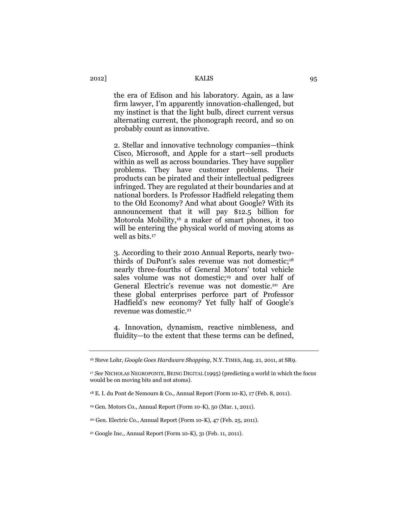the era of Edison and his laboratory. Again, as a law firm lawyer, I'm apparently innovation-challenged, but my instinct is that the light bulb, direct current versus alternating current, the phonograph record, and so on probably count as innovative.

2. Stellar and innovative technology companies—think Cisco, Microsoft, and Apple for a start—sell products within as well as across boundaries. They have supplier problems. They have customer problems. Their products can be pirated and their intellectual pedigrees infringed. They are regulated at their boundaries and at national borders. Is Professor Hadfield relegating them to the Old Economy? And what about Google? With its announcement that it will pay \$12.5 billion for Motorola Mobility,<sup>16</sup> a maker of smart phones, it too will be entering the physical world of moving atoms as well as bits.<sup>17</sup>

3. According to their 2010 Annual Reports, nearly twothirds of DuPont's sales revenue was not domestic; 18 nearly three-fourths of General Motors' total vehicle sales volume was not domestic; <sup>19</sup> and over half of General Electric's revenue was not domestic. <sup>20</sup> Are these global enterprises perforce part of Professor Hadfield's new economy? Yet fully half of Google's revenue was domestic.<sup>21</sup>

4. Innovation, dynamism, reactive nimbleness, and fluidity—to the extent that these terms can be defined,

<sup>16</sup> Steve Lohr, *Google Goes Hardware Shopping*, N.Y. TIMES, Aug. 21, 2011, at SR9.

<sup>17</sup> *See* NICHOLAS NEGROPONTE, BEING DIGITAL (1995) (predicting a world in which the focus would be on moving bits and not atoms).

<sup>18</sup> E. I. du Pont de Nemours & Co., Annual Report (Form 10-K), 17 (Feb. 8, 2011).

<sup>19</sup> Gen. Motors Co., Annual Report (Form 10-K), 50 (Mar. 1, 2011).

<sup>20</sup> Gen. Electric Co., Annual Report (Form 10-K), 47 (Feb. 25, 2011).

<sup>21</sup> Google Inc., Annual Report (Form 10-K), 31 (Feb. 11, 2011).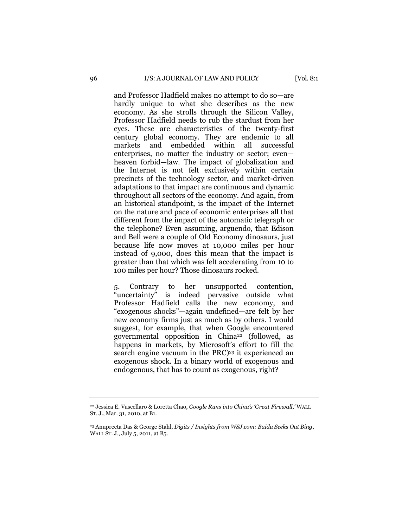and Professor Hadfield makes no attempt to do so—are hardly unique to what she describes as the new economy. As she strolls through the Silicon Valley, Professor Hadfield needs to rub the stardust from her eyes. These are characteristics of the twenty-first century global economy. They are endemic to all markets and embedded within all successful enterprises, no matter the industry or sector; even heaven forbid—law. The impact of globalization and the Internet is not felt exclusively within certain precincts of the technology sector, and market-driven adaptations to that impact are continuous and dynamic throughout all sectors of the economy. And again, from an historical standpoint, is the impact of the Internet on the nature and pace of economic enterprises all that different from the impact of the automatic telegraph or the telephone? Even assuming, arguendo, that Edison and Bell were a couple of Old Economy dinosaurs, just because life now moves at 10,000 miles per hour instead of 9,000, does this mean that the impact is greater than that which was felt accelerating from 10 to 100 miles per hour? Those dinosaurs rocked.

5. Contrary to her unsupported contention, "uncertainty" is indeed pervasive outside what Professor Hadfield calls the new economy, and "exogenous shocks"—again undefined—are felt by her new economy firms just as much as by others. I would suggest, for example, that when Google encountered governmental opposition in China<sup>22</sup> (followed, as happens in markets, by Microsoft's effort to fill the search engine vacuum in the PRC) <sup>23</sup> it experienced an exogenous shock. In a binary world of exogenous and endogenous, that has to count as exogenous, right?

<sup>22</sup> Jessica E. Vascellaro & Loretta Chao, *Google Runs into China's 'Great Firewall*,*'* WALL ST. J., Mar. 31, 2010, at B1.

<sup>23</sup> Anupreeta Das & George Stahl, *Digits / Insights from WSJ.com: Baidu Seeks Out Bing*, WALL ST. J., July 5, 2011, at B5.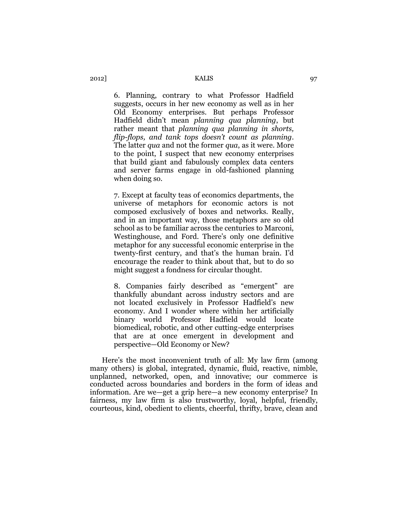6. Planning, contrary to what Professor Hadfield suggests, occurs in her new economy as well as in her Old Economy enterprises. But perhaps Professor Hadfield didn't mean *planning qua planning*, but rather meant that *planning qua planning in shorts, flip-flops, and tank tops doesn't count as planning*. The latter *qua* and not the former *qua*, as it were. More to the point, I suspect that new economy enterprises that build giant and fabulously complex data centers and server farms engage in old-fashioned planning when doing so.

7. Except at faculty teas of economics departments, the universe of metaphors for economic actors is not composed exclusively of boxes and networks. Really, and in an important way, those metaphors are so old school as to be familiar across the centuries to Marconi, Westinghouse, and Ford. There's only one definitive metaphor for any successful economic enterprise in the twenty-first century, and that's the human brain. I'd encourage the reader to think about that, but to do so might suggest a fondness for circular thought.

8. Companies fairly described as "emergent" are thankfully abundant across industry sectors and are not located exclusively in Professor Hadfield's new economy. And I wonder where within her artificially binary world Professor Hadfield would locate biomedical, robotic, and other cutting-edge enterprises that are at once emergent in development and perspective—Old Economy or New?

Here's the most inconvenient truth of all: My law firm (among many others) is global, integrated, dynamic, fluid, reactive, nimble, unplanned, networked, open, and innovative; our commerce is conducted across boundaries and borders in the form of ideas and information. Are we—get a grip here—a new economy enterprise? In fairness, my law firm is also trustworthy, loyal, helpful, friendly, courteous, kind, obedient to clients, cheerful, thrifty, brave, clean and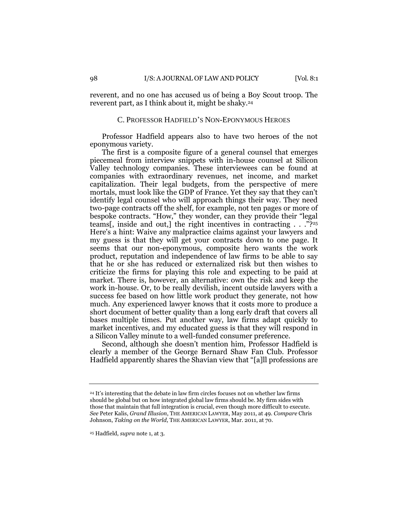reverent, and no one has accused us of being a Boy Scout troop. The reverent part, as I think about it, might be shaky.<sup>24</sup>

### C. PROFESSOR HADFIELD'S NON-EPONYMOUS HEROES

Professor Hadfield appears also to have two heroes of the not eponymous variety.

The first is a composite figure of a general counsel that emerges piecemeal from interview snippets with in-house counsel at Silicon Valley technology companies. These interviewees can be found at companies with extraordinary revenues, net income, and market capitalization. Their legal budgets, from the perspective of mere mortals, must look like the GDP of France. Yet they say that they can't identify legal counsel who will approach things their way. They need two-page contracts off the shelf, for example, not ten pages or more of bespoke contracts. "How," they wonder, can they provide their "legal teams[, inside and out,] the right incentives in contracting . . ."?<sup>25</sup> Here's a hint: Waive any malpractice claims against your lawyers and my guess is that they will get your contracts down to one page. It seems that our non-eponymous, composite hero wants the work product, reputation and independence of law firms to be able to say that he or she has reduced or externalized risk but then wishes to criticize the firms for playing this role and expecting to be paid at market. There is, however, an alternative: own the risk and keep the work in-house. Or, to be really devilish, incent outside lawyers with a success fee based on how little work product they generate, not how much. Any experienced lawyer knows that it costs more to produce a short document of better quality than a long early draft that covers all bases multiple times. Put another way, law firms adapt quickly to market incentives, and my educated guess is that they will respond in a Silicon Valley minute to a well-funded consumer preference.

Second, although she doesn't mention him, Professor Hadfield is clearly a member of the George Bernard Shaw Fan Club. Professor Hadfield apparently shares the Shavian view that "[a]ll professions are

<sup>24</sup> It's interesting that the debate in law firm circles focuses not on whether law firms should be global but on how integrated global law firms should be. My firm sides with those that maintain that full integration is crucial, even though more difficult to execute. *See* Peter Kalis, *Grand Illusion*, THE AMERICAN LAWYER, May 2011, at 49. *Compare* Chris Johnson, *Taking on the World*, THE AMERICAN LAWYER, Mar. 2011, at 70.

<sup>25</sup> Hadfield, *supra* note 1, at 3.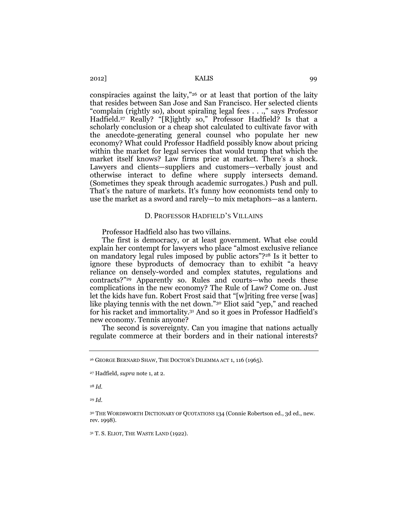2012] KALIS 99

conspiracies against the laity,"<sup>26</sup> or at least that portion of the laity that resides between San Jose and San Francisco. Her selected clients "complain (rightly so), about spiraling legal fees . . .," says Professor Hadfield.<sup>27</sup> Really? "[R]ightly so," Professor Hadfield? Is that a scholarly conclusion or a cheap shot calculated to cultivate favor with the anecdote-generating general counsel who populate her new economy? What could Professor Hadfield possibly know about pricing within the market for legal services that would trump that which the market itself knows? Law firms price at market. There's a shock. Lawyers and clients—suppliers and customers—verbally joust and otherwise interact to define where supply intersects demand. (Sometimes they speak through academic surrogates.) Push and pull. That's the nature of markets. It's funny how economists tend only to use the market as a sword and rarely—to mix metaphors—as a lantern.

### D. PROFESSOR HADFIELD'S VILLAINS

Professor Hadfield also has two villains.

The first is democracy, or at least government. What else could explain her contempt for lawyers who place "almost exclusive reliance on mandatory legal rules imposed by public actors"?<sup>28</sup> Is it better to ignore these byproducts of democracy than to exhibit "a heavy reliance on densely-worded and complex statutes, regulations and contracts?"<sup>29</sup> Apparently so. Rules and courts—who needs these complications in the new economy? The Rule of Law? Come on. Just let the kids have fun. Robert Frost said that "[w]riting free verse [was] like playing tennis with the net down."<sup>30</sup> Eliot said "yep," and reached for his racket and immortality.<sup>31</sup> And so it goes in Professor Hadfield's new economy. Tennis anyone?

The second is sovereignty. Can you imagine that nations actually regulate commerce at their borders and in their national interests?

<sup>28</sup> *Id.*

<sup>29</sup> *Id.*

<sup>30</sup> THE WORDSWORTH DICTIONARY OF QUOTATIONS 134 (Connie Robertson ed., 3d ed., new. rev. 1998).

<sup>31</sup> T. S. ELIOT, THE WASTE LAND (1922).

<sup>26</sup> GEORGE BERNARD SHAW, THE DOCTOR'S DILEMMA ACT 1, 116 (1965).

<sup>27</sup> Hadfield, *supra* note 1, at 2.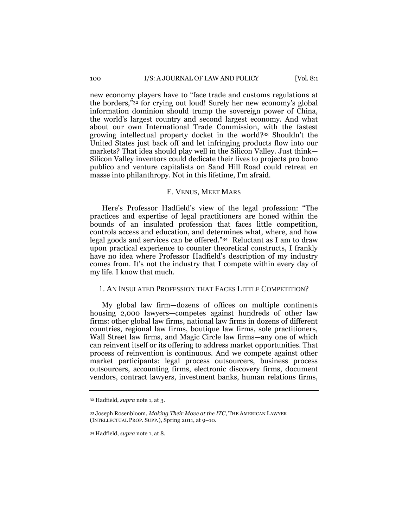#### 100 I/S: A JOURNAL OF LAW AND POLICY [Vol. 8:1]

new economy players have to "face trade and customs regulations at the borders,"<sup>32</sup> for crying out loud! Surely her new economy's global information dominion should trump the sovereign power of China, the world's largest country and second largest economy. And what about our own International Trade Commission, with the fastest growing intellectual property docket in the world?<sup>33</sup> Shouldn't the United States just back off and let infringing products flow into our markets? That idea should play well in the Silicon Valley. Just think— Silicon Valley inventors could dedicate their lives to projects pro bono publico and venture capitalists on Sand Hill Road could retreat en masse into philanthropy. Not in this lifetime, I'm afraid.

## E. VENUS, MEET MARS

Here's Professor Hadfield's view of the legal profession: "The practices and expertise of legal practitioners are honed within the bounds of an insulated profession that faces little competition, controls access and education, and determines what, where, and how legal goods and services can be offered."<sup>34</sup> Reluctant as I am to draw upon practical experience to counter theoretical constructs, I frankly have no idea where Professor Hadfield's description of my industry comes from. It's not the industry that I compete within every day of my life. I know that much.

## 1. AN INSULATED PROFESSION THAT FACES LITTLE COMPETITION?

My global law firm—dozens of offices on multiple continents housing 2,000 lawyers—competes against hundreds of other law firms: other global law firms, national law firms in dozens of different countries, regional law firms, boutique law firms, sole practitioners, Wall Street law firms, and Magic Circle law firms—any one of which can reinvent itself or its offering to address market opportunities. That process of reinvention is continuous. And we compete against other market participants: legal process outsourcers, business process outsourcers, accounting firms, electronic discovery firms, document vendors, contract lawyers, investment banks, human relations firms,

<sup>32</sup> Hadfield, *supra* note 1, at 3.

<sup>33</sup> Joseph Rosenbloom, *Making Their Move at the ITC*, THE AMERICAN LAWYER (INTELLECTUAL PROP. SUPP.), Spring 2011, at 9–10.

<sup>34</sup> Hadfield, *supra* note 1, at 8.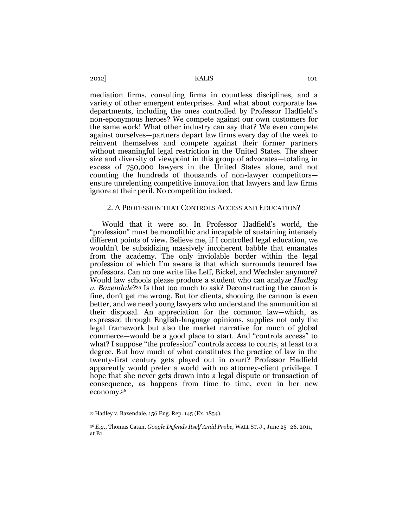2012] KALIS 101

mediation firms, consulting firms in countless disciplines, and a variety of other emergent enterprises. And what about corporate law departments, including the ones controlled by Professor Hadfield's non-eponymous heroes? We compete against our own customers for the same work! What other industry can say that? We even compete against ourselves—partners depart law firms every day of the week to reinvent themselves and compete against their former partners without meaningful legal restriction in the United States. The sheer size and diversity of viewpoint in this group of advocates—totaling in excess of 750,000 lawyers in the United States alone, and not counting the hundreds of thousands of non-lawyer competitors ensure unrelenting competitive innovation that lawyers and law firms ignore at their peril. No competition indeed.

## 2. A PROFESSION THAT CONTROLS ACCESS AND EDUCATION?

Would that it were so. In Professor Hadfield's world, the "profession" must be monolithic and incapable of sustaining intensely different points of view. Believe me, if I controlled legal education, we wouldn't be subsidizing massively incoherent babble that emanates from the academy. The only inviolable border within the legal profession of which I'm aware is that which surrounds tenured law professors. Can no one write like Leff, Bickel, and Wechsler anymore? Would law schools please produce a student who can analyze *Hadley v. Baxendale*? <sup>35</sup> Is that too much to ask? Deconstructing the canon is fine, don't get me wrong. But for clients, shooting the cannon is even better, and we need young lawyers who understand the ammunition at their disposal. An appreciation for the common law—which, as expressed through English-language opinions, supplies not only the legal framework but also the market narrative for much of global commerce—would be a good place to start. And "controls access" to what? I suppose "the profession" controls access to courts, at least to a degree. But how much of what constitutes the practice of law in the twenty-first century gets played out in court? Professor Hadfield apparently would prefer a world with no attorney-client privilege. I hope that she never gets drawn into a legal dispute or transaction of consequence, as happens from time to time, even in her new economy. 36

<sup>35</sup> Hadley v. Baxendale, 156 Eng. Rep. 145 (Ex. 1854).

<sup>36</sup> *E.g.*, Thomas Catan, *Google Defends Itself Amid Probe,* WALL ST. J., June 25–26, 2011, at B1.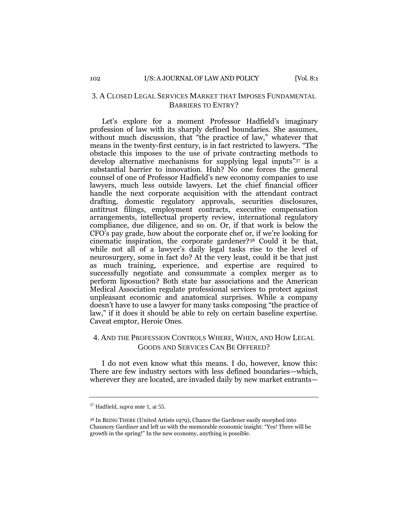# 3. A CLOSED LEGAL SERVICES MARKET THAT IMPOSES FUNDAMENTAL BARRIERS TO ENTRY?

Let's explore for a moment Professor Hadfield's imaginary profession of law with its sharply defined boundaries. She assumes, without much discussion, that "the practice of law," whatever that means in the twenty-first century, is in fact restricted to lawyers. "The obstacle this imposes to the use of private contracting methods to develop alternative mechanisms for supplying legal inputs"<sup>37</sup> is a substantial barrier to innovation. Huh? No one forces the general counsel of one of Professor Hadfield's new economy companies to use lawyers, much less outside lawyers. Let the chief financial officer handle the next corporate acquisition with the attendant contract drafting, domestic regulatory approvals, securities disclosures, antitrust filings, employment contracts, executive compensation arrangements, intellectual property review, international regulatory compliance, due diligence, and so on. Or, if that work is below the CFO's pay grade, how about the corporate chef or, if we're looking for cinematic inspiration, the corporate gardener?<sup>38</sup> Could it be that, while not all of a lawyer's daily legal tasks rise to the level of neurosurgery, some in fact do? At the very least, could it be that just as much training, experience, and expertise are required to successfully negotiate and consummate a complex merger as to perform liposuction? Both state bar associations and the American Medical Association regulate professional services to protect against unpleasant economic and anatomical surprises. While a company doesn't have to use a lawyer for many tasks composing "the practice of law," if it does it should be able to rely on certain baseline expertise. Caveat emptor, Heroic Ones.

# 4. AND THE PROFESSION CONTROLS WHERE, WHEN, AND HOW LEGAL GOODS AND SERVICES CAN BE OFFERED?

I do not even know what this means. I do, however, know this: There are few industry sectors with less defined boundaries—which, wherever they are located, are invaded daily by new market entrants—

<sup>37</sup> Hadfield, *supra* note 1, at 55.

<sup>38</sup> In BEING THERE (United Artists 1979), Chance the Gardener easily morphed into Chauncey Gardiner and left us with the memorable economic insight: "Yes! There will be growth in the spring!" In the new economy, anything is possible.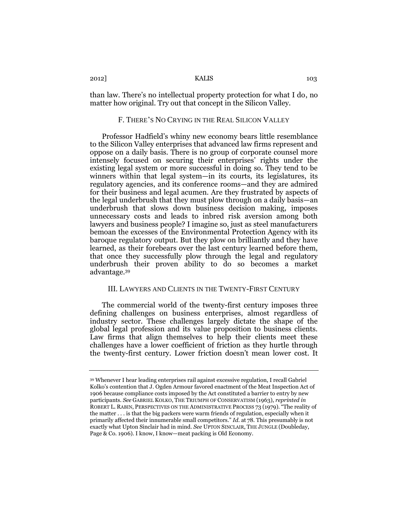than law. There's no intellectual property protection for what I do, no matter how original. Try out that concept in the Silicon Valley.

#### F. THERE'S NO CRYING IN THE REAL SILICON VALLEY

Professor Hadfield's whiny new economy bears little resemblance to the Silicon Valley enterprises that advanced law firms represent and oppose on a daily basis. There is no group of corporate counsel more intensely focused on securing their enterprises' rights under the existing legal system or more successful in doing so. They tend to be winners within that legal system—in its courts, its legislatures, its regulatory agencies, and its conference rooms—and they are admired for their business and legal acumen. Are they frustrated by aspects of the legal underbrush that they must plow through on a daily basis—an underbrush that slows down business decision making, imposes unnecessary costs and leads to inbred risk aversion among both lawyers and business people? I imagine so, just as steel manufacturers bemoan the excesses of the Environmental Protection Agency with its baroque regulatory output. But they plow on brilliantly and they have learned, as their forebears over the last century learned before them, that once they successfully plow through the legal and regulatory underbrush their proven ability to do so becomes a market advantage.<sup>39</sup>

## III. LAWYERS AND CLIENTS IN THE TWENTY-FIRST CENTURY

The commercial world of the twenty-first century imposes three defining challenges on business enterprises, almost regardless of industry sector. These challenges largely dictate the shape of the global legal profession and its value proposition to business clients. Law firms that align themselves to help their clients meet these challenges have a lower coefficient of friction as they hurtle through the twenty-first century. Lower friction doesn't mean lower cost. It

<sup>39</sup> Whenever I hear leading enterprises rail against excessive regulation, I recall Gabriel Kolko's contention that J. Ogden Armour favored enactment of the Meat Inspection Act of 1906 because compliance costs imposed by the Act constituted a barrier to entry by new participants. *See* GABRIEL KOLKO, THE TRIUMPH OF CONSERVATISM (1963), *reprinted in* ROBERT L. RABIN, PERSPECTIVES ON THE ADMINISTRATIVE PROCESS 73 (1979). "The reality of the matter . . . is that the big packers were warm friends of regulation, especially when it primarily affected their innumerable small competitors." *Id.* at 78. This presumably is not exactly what Upton Sinclair had in mind. *See* UPTON SINCLAIR, THE JUNGLE (Doubleday, Page & Co. 1906). I know, I know—meat packing is Old Economy.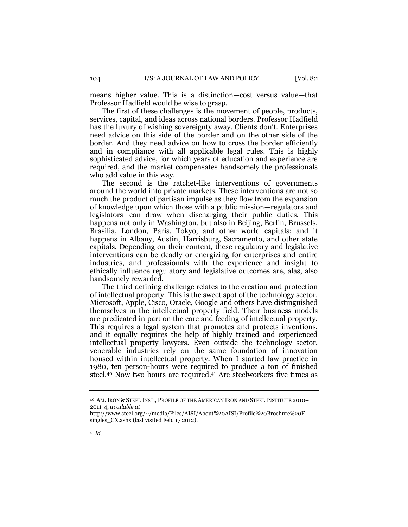means higher value. This is a distinction—cost versus value—that Professor Hadfield would be wise to grasp.

The first of these challenges is the movement of people, products, services, capital, and ideas across national borders. Professor Hadfield has the luxury of wishing sovereignty away. Clients don't. Enterprises need advice on this side of the border and on the other side of the border. And they need advice on how to cross the border efficiently and in compliance with all applicable legal rules. This is highly sophisticated advice, for which years of education and experience are required, and the market compensates handsomely the professionals who add value in this way.

The second is the ratchet-like interventions of governments around the world into private markets. These interventions are not so much the product of partisan impulse as they flow from the expansion of knowledge upon which those with a public mission—regulators and legislators—can draw when discharging their public duties. This happens not only in Washington, but also in Beijing, Berlin, Brussels, Brasilia, London, Paris, Tokyo, and other world capitals; and it happens in Albany, Austin, Harrisburg, Sacramento, and other state capitals. Depending on their content, these regulatory and legislative interventions can be deadly or energizing for enterprises and entire industries, and professionals with the experience and insight to ethically influence regulatory and legislative outcomes are, alas, also handsomely rewarded.

The third defining challenge relates to the creation and protection of intellectual property. This is the sweet spot of the technology sector. Microsoft, Apple, Cisco, Oracle, Google and others have distinguished themselves in the intellectual property field. Their business models are predicated in part on the care and feeding of intellectual property. This requires a legal system that promotes and protects inventions, and it equally requires the help of highly trained and experienced intellectual property lawyers. Even outside the technology sector, venerable industries rely on the same foundation of innovation housed within intellectual property. When I started law practice in 1980, ten person-hours were required to produce a ton of finished steel.<sup>40</sup> Now two hours are required.<sup>41</sup> Are steelworkers five times as

<sup>40</sup> AM.IRON & STEEL INST., PROFILE OF THE AMERICAN IRON AND STEEL INSTITUTE 2010– 2011 4, *available at*

http://www.steel.org/~/media/Files/AISI/About%20AISI/Profile%20Brochure%20Fsingles\_CX.ashx (last visited Feb. 17 2012).